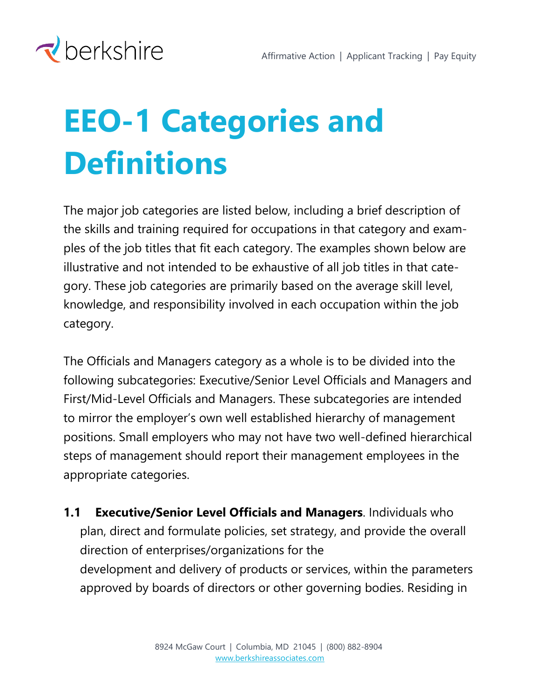

## **EEO-1 Categories and Definitions**

The major job categories are listed below, including a brief description of the skills and training required for occupations in that category and examples of the job titles that fit each category. The examples shown below are illustrative and not intended to be exhaustive of all job titles in that category. These job categories are primarily based on the average skill level, knowledge, and responsibility involved in each occupation within the job category.

The Officials and Managers category as a whole is to be divided into the following subcategories: Executive/Senior Level Officials and Managers and First/Mid-Level Officials and Managers. These subcategories are intended to mirror the employer's own well established hierarchy of management positions. Small employers who may not have two well-defined hierarchical steps of management should report their management employees in the appropriate categories.

**1.1 Executive/Senior Level Officials and Managers**. Individuals who plan, direct and formulate policies, set strategy, and provide the overall direction of enterprises/organizations for the development and delivery of products or services, within the parameters approved by boards of directors or other governing bodies. Residing in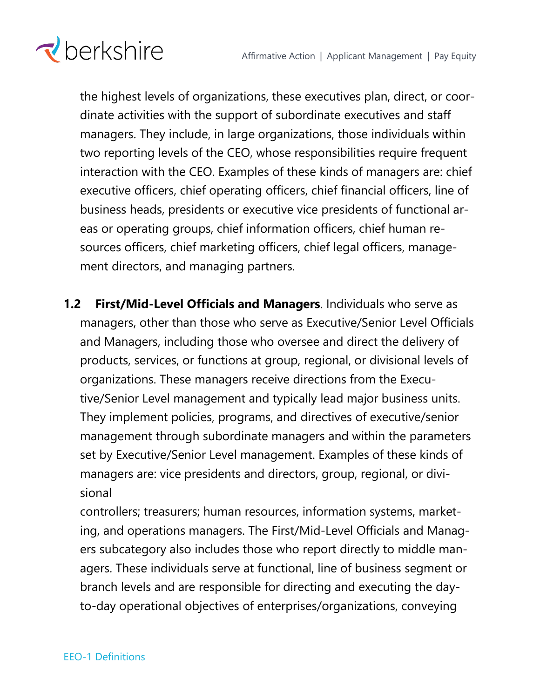

the highest levels of organizations, these executives plan, direct, or coordinate activities with the support of subordinate executives and staff managers. They include, in large organizations, those individuals within two reporting levels of the CEO, whose responsibilities require frequent interaction with the CEO. Examples of these kinds of managers are: chief executive officers, chief operating officers, chief financial officers, line of business heads, presidents or executive vice presidents of functional areas or operating groups, chief information officers, chief human resources officers, chief marketing officers, chief legal officers, management directors, and managing partners.

**1.2 First/Mid-Level Officials and Managers**. Individuals who serve as managers, other than those who serve as Executive/Senior Level Officials and Managers, including those who oversee and direct the delivery of products, services, or functions at group, regional, or divisional levels of organizations. These managers receive directions from the Executive/Senior Level management and typically lead major business units. They implement policies, programs, and directives of executive/senior management through subordinate managers and within the parameters set by Executive/Senior Level management. Examples of these kinds of managers are: vice presidents and directors, group, regional, or divisional

controllers; treasurers; human resources, information systems, marketing, and operations managers. The First/Mid-Level Officials and Managers subcategory also includes those who report directly to middle managers. These individuals serve at functional, line of business segment or branch levels and are responsible for directing and executing the dayto-day operational objectives of enterprises/organizations, conveying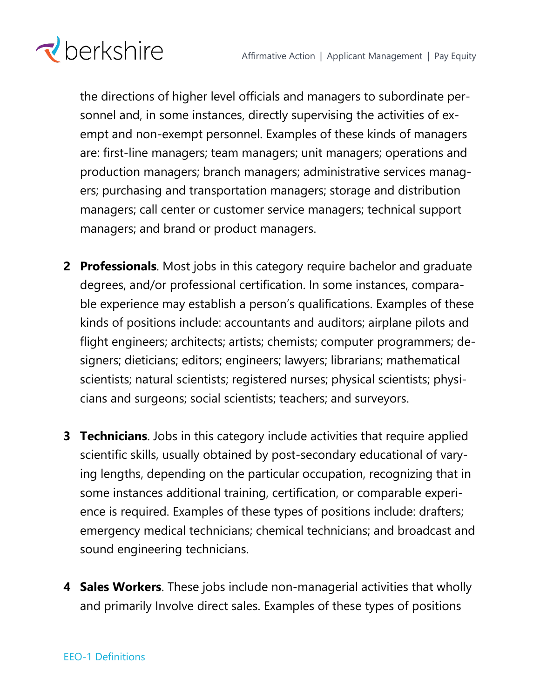

the directions of higher level officials and managers to subordinate personnel and, in some instances, directly supervising the activities of exempt and non-exempt personnel. Examples of these kinds of managers are: first-line managers; team managers; unit managers; operations and production managers; branch managers; administrative services managers; purchasing and transportation managers; storage and distribution managers; call center or customer service managers; technical support managers; and brand or product managers.

- **2 Professionals**. Most jobs in this category require bachelor and graduate degrees, and/or professional certification. In some instances, comparable experience may establish a person's qualifications. Examples of these kinds of positions include: accountants and auditors; airplane pilots and flight engineers; architects; artists; chemists; computer programmers; designers; dieticians; editors; engineers; lawyers; librarians; mathematical scientists; natural scientists; registered nurses; physical scientists; physicians and surgeons; social scientists; teachers; and surveyors.
- **3 Technicians**. Jobs in this category include activities that require applied scientific skills, usually obtained by post-secondary educational of varying lengths, depending on the particular occupation, recognizing that in some instances additional training, certification, or comparable experience is required. Examples of these types of positions include: drafters; emergency medical technicians; chemical technicians; and broadcast and sound engineering technicians.
- **4 Sales Workers**. These jobs include non-managerial activities that wholly and primarily Involve direct sales. Examples of these types of positions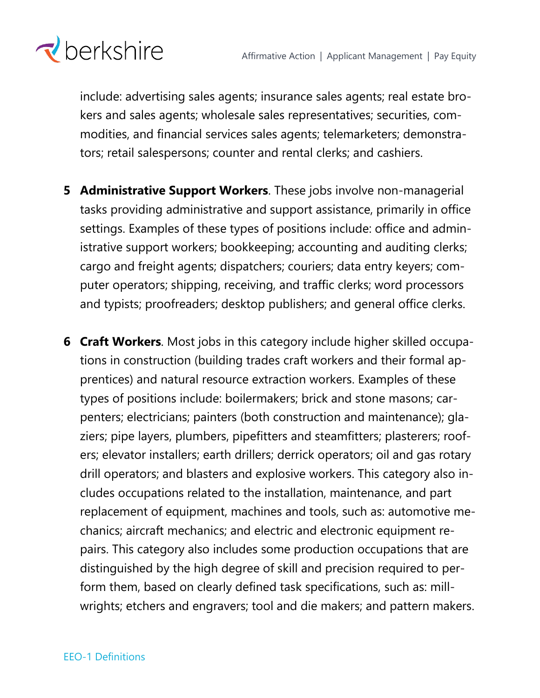

include: advertising sales agents; insurance sales agents; real estate brokers and sales agents; wholesale sales representatives; securities, commodities, and financial services sales agents; telemarketers; demonstrators; retail salespersons; counter and rental clerks; and cashiers.

- **5 Administrative Support Workers**. These jobs involve non-managerial tasks providing administrative and support assistance, primarily in office settings. Examples of these types of positions include: office and administrative support workers; bookkeeping; accounting and auditing clerks; cargo and freight agents; dispatchers; couriers; data entry keyers; computer operators; shipping, receiving, and traffic clerks; word processors and typists; proofreaders; desktop publishers; and general office clerks.
- **6 Craft Workers**. Most jobs in this category include higher skilled occupations in construction (building trades craft workers and their formal apprentices) and natural resource extraction workers. Examples of these types of positions include: boilermakers; brick and stone masons; carpenters; electricians; painters (both construction and maintenance); glaziers; pipe layers, plumbers, pipefitters and steamfitters; plasterers; roofers; elevator installers; earth drillers; derrick operators; oil and gas rotary drill operators; and blasters and explosive workers. This category also includes occupations related to the installation, maintenance, and part replacement of equipment, machines and tools, such as: automotive mechanics; aircraft mechanics; and electric and electronic equipment repairs. This category also includes some production occupations that are distinguished by the high degree of skill and precision required to perform them, based on clearly defined task specifications, such as: millwrights; etchers and engravers; tool and die makers; and pattern makers.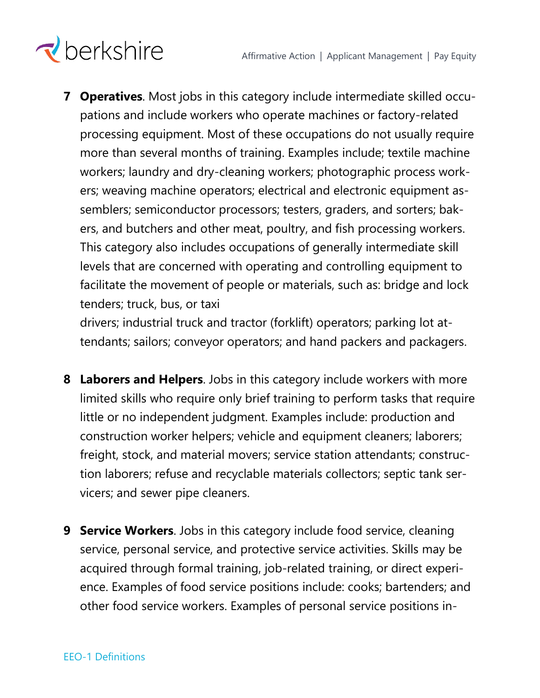## $\triangle$ berkshire

**7 Operatives**. Most jobs in this category include intermediate skilled occupations and include workers who operate machines or factory-related processing equipment. Most of these occupations do not usually require more than several months of training. Examples include; textile machine workers; laundry and dry-cleaning workers; photographic process workers; weaving machine operators; electrical and electronic equipment assemblers; semiconductor processors; testers, graders, and sorters; bakers, and butchers and other meat, poultry, and fish processing workers. This category also includes occupations of generally intermediate skill levels that are concerned with operating and controlling equipment to facilitate the movement of people or materials, such as: bridge and lock tenders; truck, bus, or taxi

drivers; industrial truck and tractor (forklift) operators; parking lot attendants; sailors; conveyor operators; and hand packers and packagers.

- **8 Laborers and Helpers**. Jobs in this category include workers with more limited skills who require only brief training to perform tasks that require little or no independent judgment. Examples include: production and construction worker helpers; vehicle and equipment cleaners; laborers; freight, stock, and material movers; service station attendants; construction laborers; refuse and recyclable materials collectors; septic tank servicers; and sewer pipe cleaners.
- **9 Service Workers**. Jobs in this category include food service, cleaning service, personal service, and protective service activities. Skills may be acquired through formal training, job-related training, or direct experience. Examples of food service positions include: cooks; bartenders; and other food service workers. Examples of personal service positions in-